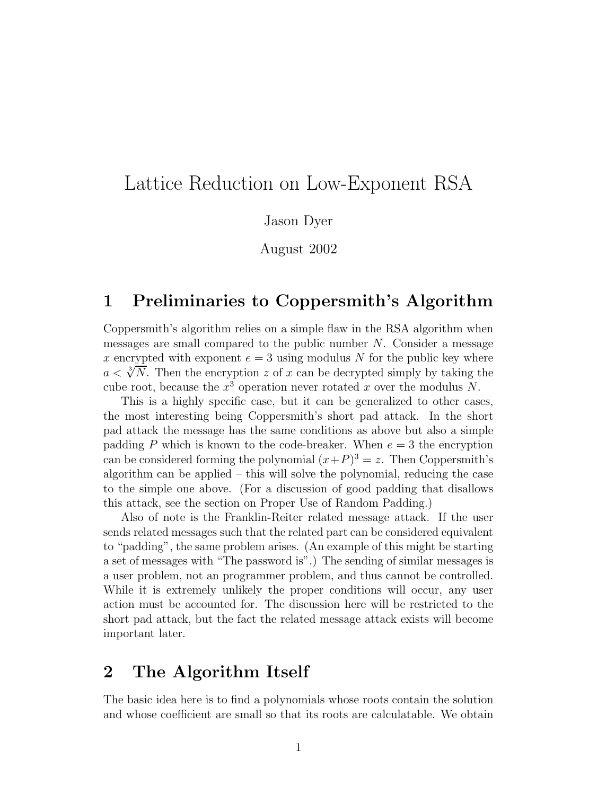# Lattice Reduction on Low-Exponent RSA

Jason Dyer

August 2002

### 1 Preliminaries to Coppersmith's Algorithm

Coppersmith's algorithm relies on a simple flaw in the RSA algorithm when messages are small compared to the public number  $N$ . Consider a message x encrypted with exponent  $e = 3$  using modulus N for the public key where  $a < \sqrt[3]{N}$ . Then the encryption z of x can be decrypted simply by taking the cube root, because the  $x^3$  operation never rotated x over the modulus N.

This is a highly specific case, but it can be generalized to other cases, the most interesting being Coppersmith's short pad attack. In the short pad attack the message has the same conditions as above but also a simple padding P which is known to the code-breaker. When  $e = 3$  the encryption can be considered forming the polynomial  $(x+P)^3 = z$ . Then Coppersmith's algorithm can be applied – this will solve the polynomial, reducing the case to the simple one above. (For a discussion of good padding that disallows this attack, see the section on Proper Use of Random Padding.)

Also of note is the Franklin-Reiter related message attack. If the user sends related messages such that the related part can be considered equivalent to "padding", the same problem arises. (An example of this might be starting a set of messages with "The password is".) The sending of similar messages is a user problem, not an programmer problem, and thus cannot be controlled. While it is extremely unlikely the proper conditions will occur, any user action must be accounted for. The discussion here will be restricted to the short pad attack, but the fact the related message attack exists will become important later.

#### 2 The Algorithm Itself

The basic idea here is to find a polynomials whose roots contain the solution and whose coefficient are small so that its roots are calculatable. We obtain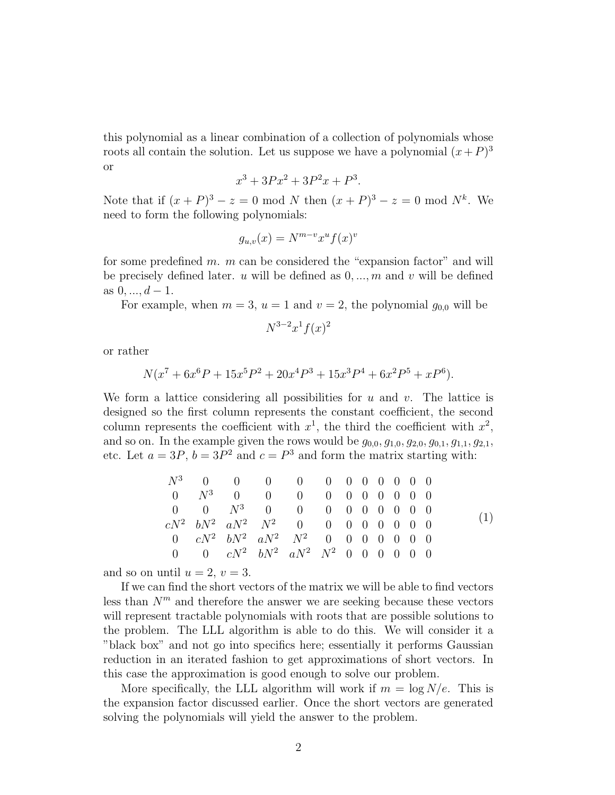this polynomial as a linear combination of a collection of polynomials whose roots all contain the solution. Let us suppose we have a polynomial  $(x+P)^3$ or

$$
x^3 + 3Px^2 + 3P^2x + P^3.
$$

Note that if  $(x+P)^3 - z = 0 \text{ mod } N$  then  $(x+P)^3 - z = 0 \text{ mod } N^k$ . We need to form the following polynomials:

$$
g_{u,v}(x) = N^{m-v} x^u f(x)^v
$$

for some predefined  $m$ .  $m$  can be considered the "expansion factor" and will be precisely defined later. u will be defined as  $0, ..., m$  and v will be defined as  $0, ..., d-1$ .

For example, when  $m = 3$ ,  $u = 1$  and  $v = 2$ , the polynomial  $g_{0,0}$  will be

$$
N^{3-2}x^1f(x)^2
$$

or rather

$$
N(x7 + 6x6P + 15x5P2 + 20x4P3 + 15x3P4 + 6x2P5 + xP6).
$$

We form a lattice considering all possibilities for  $u$  and  $v$ . The lattice is designed so the first column represents the constant coefficient, the second column represents the coefficient with  $x^1$ , the third the coefficient with  $x^2$ , and so on. In the example given the rows would be  $g_{0,0}, g_{1,0}, g_{2,0}, g_{0,1}, g_{1,1}, g_{2,1}$ , etc. Let  $a = 3P$ ,  $b = 3P^2$  and  $c = P^3$  and form the matrix starting with:

|  | $N^3$ 0 0 0 0 0 0 0 0 0 0 0                             |  |  |  |  |  |  |
|--|---------------------------------------------------------|--|--|--|--|--|--|
|  | $0 \t N^3 \t 0 \t 0 \t 0 \t 0 \t 0 \t 0 \t 0 \t 0 \t 0$ |  |  |  |  |  |  |
|  | $0 \t 0 \t N^3 \t 0 \t 0 \t 0 \t 0 \t 0 \t 0 \t 0 \t 0$ |  |  |  |  |  |  |
|  | $cN^2$ $bN^2$ $aN^2$ $N^2$ 0 0 0 0 0 0 0 0              |  |  |  |  |  |  |
|  | 0 $cN^2$ $bN^2$ $aN^2$ $N^2$ 0 0 0 0 0 0 0              |  |  |  |  |  |  |
|  | 0 0 $cN^2$ $bN^2$ $aN^2$ $N^2$ 0 0 0 0 0 0              |  |  |  |  |  |  |

and so on until  $u = 2$ ,  $v = 3$ .

If we can find the short vectors of the matrix we will be able to find vectors less than  $N^m$  and therefore the answer we are seeking because these vectors will represent tractable polynomials with roots that are possible solutions to the problem. The LLL algorithm is able to do this. We will consider it a "black box" and not go into specifics here; essentially it performs Gaussian reduction in an iterated fashion to get approximations of short vectors. In this case the approximation is good enough to solve our problem.

More specifically, the LLL algorithm will work if  $m = \log N/e$ . This is the expansion factor discussed earlier. Once the short vectors are generated solving the polynomials will yield the answer to the problem.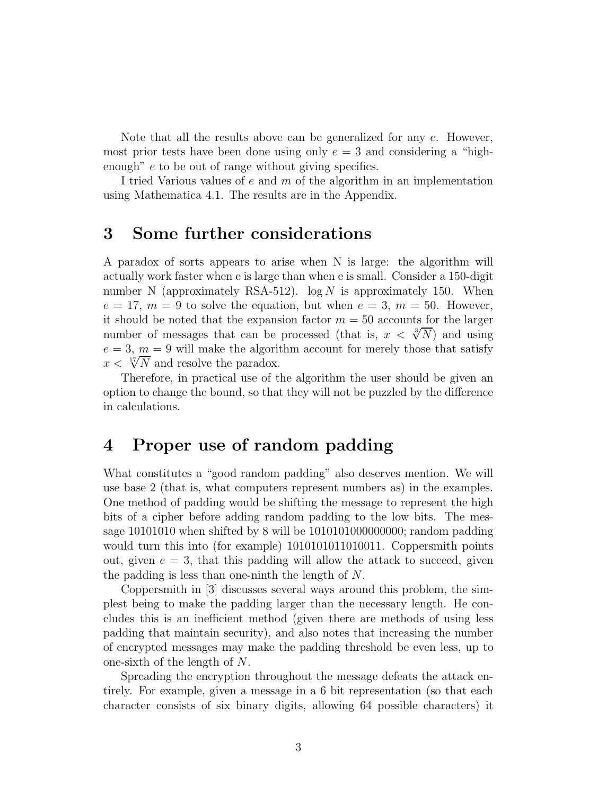Note that all the results above can be generalized for any  $e$ . However, most prior tests have been done using only  $e = 3$  and considering a "highenough" e to be out of range without giving specifics.

I tried Various values of e and m of the algorithm in an implementation using Mathematica 4.1. The results are in the Appendix.

#### 3 Some further considerations

A paradox of sorts appears to arise when N is large: the algorithm will actually work faster when e is large than when e is small. Consider a 150-digit number N (approximately RSA-512).  $log N$  is approximately 150. When  $e = 17, m = 9$  to solve the equation, but when  $e = 3, m = 50$ . However, it should be noted that the expansion factor  $m = 50$  accounts for the larger number of messages that can be processed (that is,  $x < \sqrt[3]{N}$ ) and using  $e = 3$ ,  $m = 9$  will make the algorithm account for merely those that satisfy  $x < \sqrt[17]{N}$  and resolve the paradox.

Therefore, in practical use of the algorithm the user should be given an option to change the bound, so that they will not be puzzled by the difference in calculations.

## 4 Proper use of random padding

What constitutes a "good random padding" also deserves mention. We will use base 2 (that is, what computers represent numbers as) in the examples. One method of padding would be shifting the message to represent the high bits of a cipher before adding random padding to the low bits. The message 10101010 when shifted by 8 will be 1010101000000000; random padding would turn this into (for example) 1010101011010011. Coppersmith points out, given  $e = 3$ , that this padding will allow the attack to succeed, given the padding is less than one-ninth the length of N.

Coppersmith in [3] discusses several ways around this problem, the simplest being to make the padding larger than the necessary length. He concludes this is an inefficient method (given there are methods of using less padding that maintain security), and also notes that increasing the number of encrypted messages may make the padding threshold be even less, up to one-sixth of the length of N.

Spreading the encryption throughout the message defeats the attack entirely. For example, given a message in a 6 bit representation (so that each character consists of six binary digits, allowing 64 possible characters) it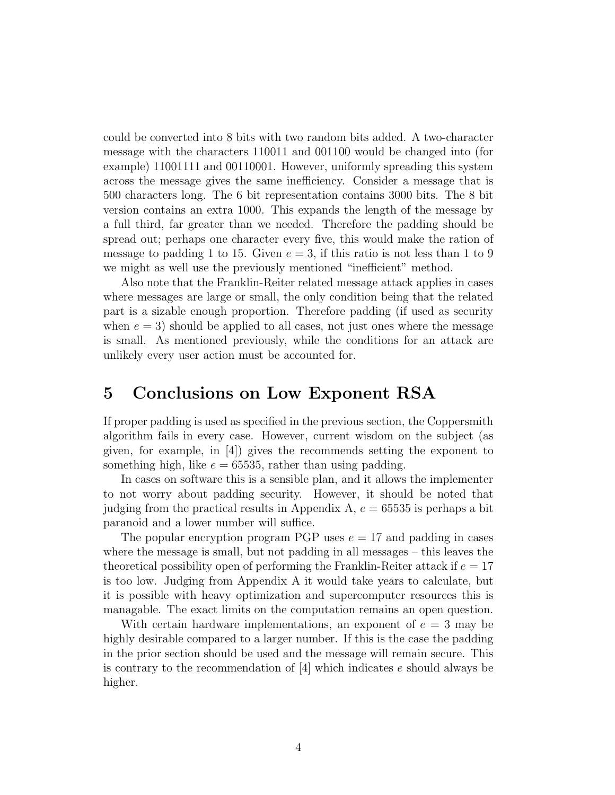could be converted into 8 bits with two random bits added. A two-character message with the characters 110011 and 001100 would be changed into (for example) 11001111 and 00110001. However, uniformly spreading this system across the message gives the same inefficiency. Consider a message that is 500 characters long. The 6 bit representation contains 3000 bits. The 8 bit version contains an extra 1000. This expands the length of the message by a full third, far greater than we needed. Therefore the padding should be spread out; perhaps one character every five, this would make the ration of message to padding 1 to 15. Given  $e = 3$ , if this ratio is not less than 1 to 9 we might as well use the previously mentioned "inefficient" method.

Also note that the Franklin-Reiter related message attack applies in cases where messages are large or small, the only condition being that the related part is a sizable enough proportion. Therefore padding (if used as security when  $e = 3$ ) should be applied to all cases, not just ones where the message is small. As mentioned previously, while the conditions for an attack are unlikely every user action must be accounted for.

#### 5 Conclusions on Low Exponent RSA

If proper padding is used as specified in the previous section, the Coppersmith algorithm fails in every case. However, current wisdom on the subject (as given, for example, in [4]) gives the recommends setting the exponent to something high, like  $e = 65535$ , rather than using padding.

In cases on software this is a sensible plan, and it allows the implementer to not worry about padding security. However, it should be noted that judging from the practical results in Appendix A,  $e = 65535$  is perhaps a bit paranoid and a lower number will suffice.

The popular encryption program PGP uses  $e = 17$  and padding in cases where the message is small, but not padding in all messages – this leaves the theoretical possibility open of performing the Franklin-Reiter attack if  $e = 17$ is too low. Judging from Appendix A it would take years to calculate, but it is possible with heavy optimization and supercomputer resources this is managable. The exact limits on the computation remains an open question.

With certain hardware implementations, an exponent of  $e = 3$  may be highly desirable compared to a larger number. If this is the case the padding in the prior section should be used and the message will remain secure. This is contrary to the recommendation of [4] which indicates e should always be higher.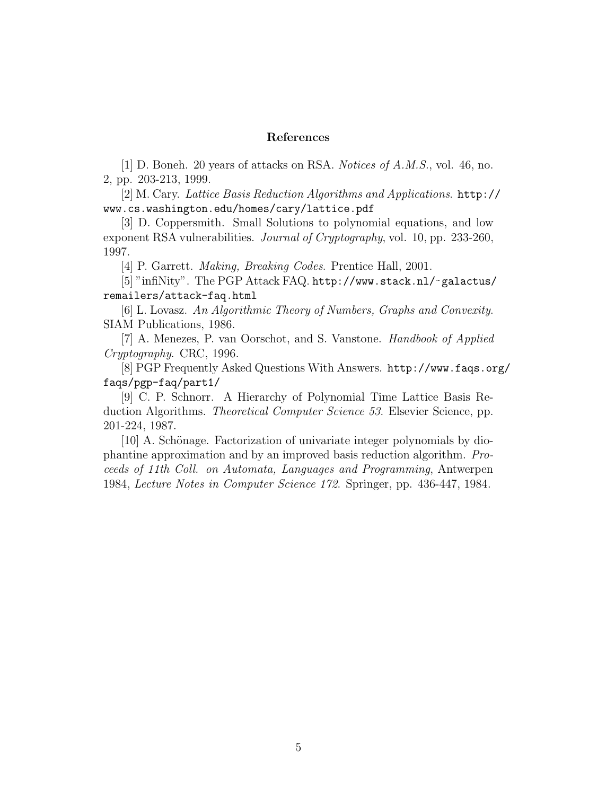#### References

[1] D. Boneh. 20 years of attacks on RSA. Notices of A.M.S., vol. 46, no. 2, pp. 203-213, 1999.

[2] M. Cary. Lattice Basis Reduction Algorithms and Applications. http:// www.cs.washington.edu/homes/cary/lattice.pdf

[3] D. Coppersmith. Small Solutions to polynomial equations, and low exponent RSA vulnerabilities. Journal of Cryptography, vol. 10, pp. 233-260, 1997.

[4] P. Garrett. Making, Breaking Codes. Prentice Hall, 2001.

[5] "infiNity". The PGP Attack FAQ. http://www.stack.nl/˜ galactus/ remailers/attack-faq.html

[6] L. Lovasz. An Algorithmic Theory of Numbers, Graphs and Convexity. SIAM Publications, 1986.

[7] A. Menezes, P. van Oorschot, and S. Vanstone. Handbook of Applied Cryptography. CRC, 1996.

[8] PGP Frequently Asked Questions With Answers. http://www.faqs.org/ faqs/pgp-faq/part1/

[9] C. P. Schnorr. A Hierarchy of Polynomial Time Lattice Basis Reduction Algorithms. Theoretical Computer Science 53. Elsevier Science, pp. 201-224, 1987.

[10] A. Schönage. Factorization of univariate integer polynomials by diophantine approximation and by an improved basis reduction algorithm. Proceeds of 11th Coll. on Automata, Languages and Programming, Antwerpen 1984, Lecture Notes in Computer Science 172. Springer, pp. 436-447, 1984.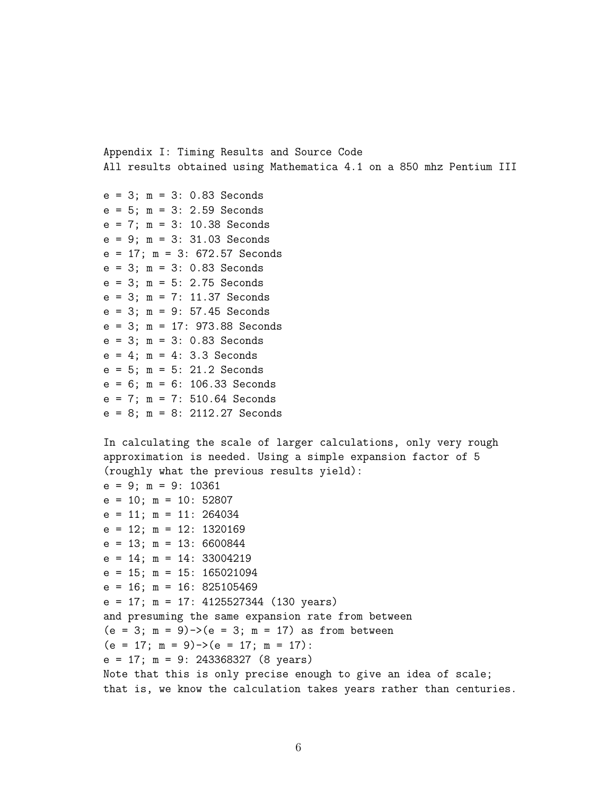Appendix I: Timing Results and Source Code All results obtained using Mathematica 4.1 on a 850 mhz Pentium III

e = 3; m = 3: 0.83 Seconds  $e = 5$ ;  $m = 3$ : 2.59 Seconds e = 7; m = 3: 10.38 Seconds e = 9; m = 3: 31.03 Seconds e = 17; m = 3: 672.57 Seconds e = 3; m = 3: 0.83 Seconds  $e = 3$ ;  $m = 5$ : 2.75 Seconds e = 3; m = 7: 11.37 Seconds e = 3; m = 9: 57.45 Seconds e = 3; m = 17: 973.88 Seconds  $e = 3$ ;  $m = 3$ : 0.83 Seconds  $e = 4$ ;  $m = 4$ : 3.3 Seconds e = 5; m = 5: 21.2 Seconds e = 6; m = 6: 106.33 Seconds e = 7; m = 7: 510.64 Seconds e = 8; m = 8: 2112.27 Seconds

```
In calculating the scale of larger calculations, only very rough
approximation is needed. Using a simple expansion factor of 5
(roughly what the previous results yield):
e = 9; m = 9: 10361
e = 10; m = 10: 52807
e = 11; m = 11: 264034
e = 12; m = 12: 1320169
e = 13; m = 13: 6600844
e = 14; m = 14: 33004219
e = 15; m = 15: 165021094
e = 16; m = 16: 825105469
e = 17; m = 17: 4125527344 (130 years)
and presuming the same expansion rate from between
(e = 3; m = 9) - \ge (e = 3; m = 17) as from between
(e = 17; m = 9) \rightarrow (e = 17; m = 17):
e = 17; m = 9: 243368327 (8 years)
Note that this is only precise enough to give an idea of scale;
that is, we know the calculation takes years rather than centuries.
```